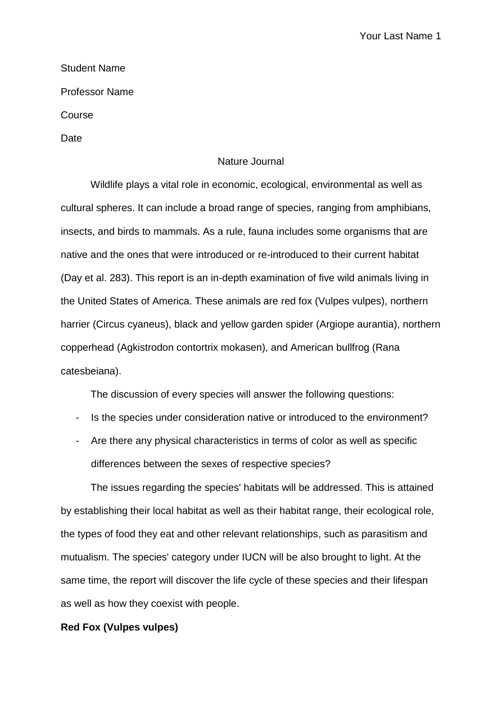## Student Name

Professor Name

Course

Date

## Nature Journal

Wildlife plays a vital role in economic, ecological, environmental as well as cultural spheres. It can include a broad range of species, ranging from amphibians, insects, and birds to mammals. As a rule, fauna includes some organisms that are native and the ones that were introduced or re-introduced to their current habitat (Day et al. 283). This report is an in-depth examination of five wild animals living in the United States of America. These animals are red fox (Vulpes vulpes), northern harrier (Circus cyaneus), black and yellow garden spider (Argiope aurantia), northern copperhead (Agkistrodon contortrix mokasen), and American bullfrog (Rana catesbeiana).

The discussion of every species will answer the following questions:

- Is the species under consideration native or introduced to the environment?
- Are there any physical characteristics in terms of color as well as specific differences between the sexes of respective species?

The issues regarding the species' habitats will be addressed. This is attained by establishing their local habitat as well as their habitat range, their ecological role, the types of food they eat and other relevant relationships, such as parasitism and mutualism. The species' category under IUCN will be also brought to light. At the same time, the report will discover the life cycle of these species and their lifespan as well as how they coexist with people.

# **Red Fox (Vulpes vulpes)**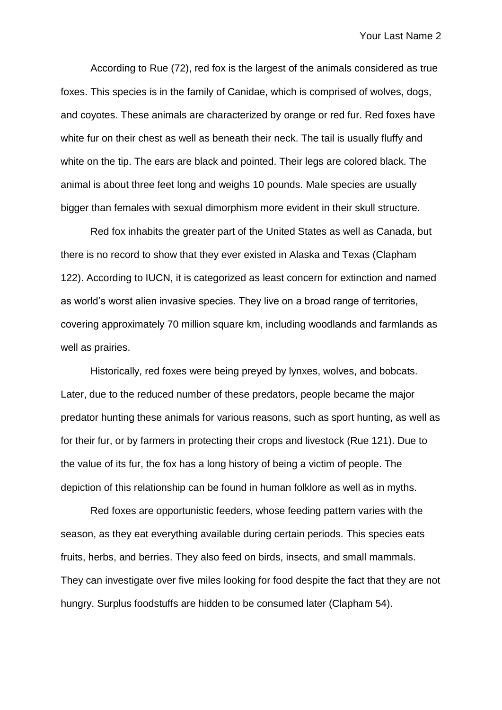According to Rue (72), red fox is the largest of the animals considered as true foxes. This species is in the family of Canidae, which is comprised of wolves, dogs, and coyotes. These animals are characterized by orange or red fur. Red foxes have white fur on their chest as well as beneath their neck. The tail is usually fluffy and white on the tip. The ears are black and pointed. Their legs are colored black. The animal is about three feet long and weighs 10 pounds. Male species are usually bigger than females with sexual dimorphism more evident in their skull structure.

Red fox inhabits the greater part of the United States as well as Canada, but there is no record to show that they ever existed in Alaska and Texas (Clapham 122). According to IUCN, it is categorized as least concern for extinction and named as world's worst alien invasive species. They live on a broad range of territories, covering approximately 70 million square km, including woodlands and farmlands as well as prairies.

Historically, red foxes were being preyed by lynxes, wolves, and bobcats. Later, due to the reduced number of these predators, people became the major predator hunting these animals for various reasons, such as sport hunting, as well as for their fur, or by farmers in protecting their crops and livestock (Rue 121). Due to the value of its fur, the fox has a long history of being a victim of people. The depiction of this relationship can be found in human folklore as well as in myths.

Red foxes are opportunistic feeders, whose feeding pattern varies with the season, as they eat everything available during certain periods. This species eats fruits, herbs, and berries. They also feed on birds, insects, and small mammals. They can investigate over five miles looking for food despite the fact that they are not hungry. Surplus foodstuffs are hidden to be consumed later (Clapham 54).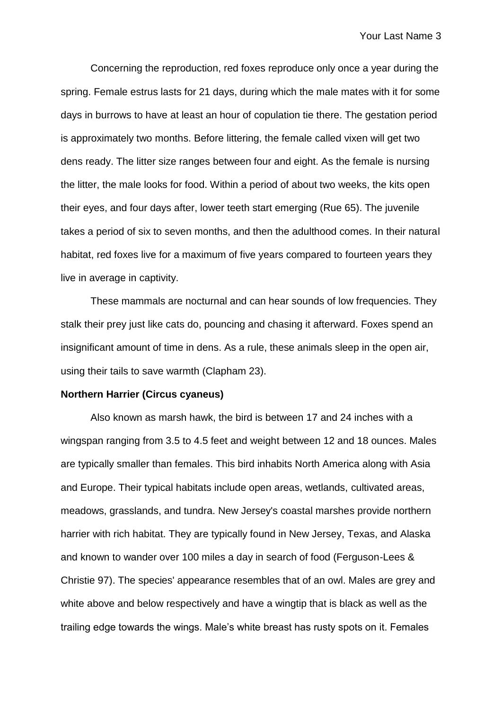Concerning the reproduction, red foxes reproduce only once a year during the spring. Female estrus lasts for 21 days, during which the male mates with it for some days in burrows to have at least an hour of copulation tie there. The gestation period is approximately two months. Before littering, the female called vixen will get two dens ready. The litter size ranges between four and eight. As the female is nursing the litter, the male looks for food. Within a period of about two weeks, the kits open their eyes, and four days after, lower teeth start emerging (Rue 65). The juvenile takes a period of six to seven months, and then the adulthood comes. In their natural habitat, red foxes live for a maximum of five years compared to fourteen years they live in average in captivity.

These mammals are nocturnal and can hear sounds of low frequencies. They stalk their prey just like cats do, pouncing and chasing it afterward. Foxes spend an insignificant amount of time in dens. As a rule, these animals sleep in the open air, using their tails to save warmth (Clapham 23).

#### **Northern Harrier (Circus cyaneus)**

Also known as marsh hawk, the bird is between 17 and 24 inches with a wingspan ranging from 3.5 to 4.5 feet and weight between 12 and 18 ounces. Males are typically smaller than females. This bird inhabits North America along with Asia and Europe. Their typical habitats include open areas, wetlands, cultivated areas, meadows, grasslands, and tundra. New Jersey's coastal marshes provide northern harrier with rich habitat. They are typically found in New Jersey, Texas, and Alaska and known to wander over 100 miles a day in search of food (Ferguson-Lees & Christie 97). The species' appearance resembles that of an owl. Males are grey and white above and below respectively and have a wingtip that is black as well as the trailing edge towards the wings. Male's white breast has rusty spots on it. Females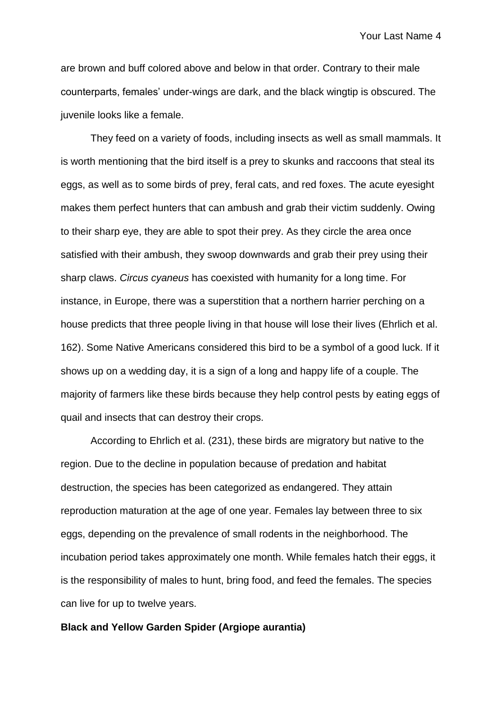are brown and buff colored above and below in that order. Contrary to their male counterparts, females' under-wings are dark, and the black wingtip is obscured. The juvenile looks like a female.

They feed on a variety of foods, including insects as well as small mammals. It is worth mentioning that the bird itself is a prey to skunks and raccoons that steal its eggs, as well as to some birds of prey, feral cats, and red foxes. The acute eyesight makes them perfect hunters that can ambush and grab their victim suddenly. Owing to their sharp eye, they are able to spot their prey. As they circle the area once satisfied with their ambush, they swoop downwards and grab their prey using their sharp claws. *Circus cyaneus* has coexisted with humanity for a long time. For instance, in Europe, there was a superstition that a northern harrier perching on a house predicts that three people living in that house will lose their lives (Ehrlich et al. 162). Some Native Americans considered this bird to be a symbol of a good luck. If it shows up on a wedding day, it is a sign of a long and happy life of a couple. The majority of farmers like these birds because they help control pests by eating eggs of quail and insects that can destroy their crops.

According to Ehrlich et al. (231), these birds are migratory but native to the region. Due to the decline in population because of predation and habitat destruction, the species has been categorized as endangered. They attain reproduction maturation at the age of one year. Females lay between three to six eggs, depending on the prevalence of small rodents in the neighborhood. The incubation period takes approximately one month. While females hatch their eggs, it is the responsibility of males to hunt, bring food, and feed the females. The species can live for up to twelve years.

## **Black and Yellow Garden Spider (Argiope aurantia)**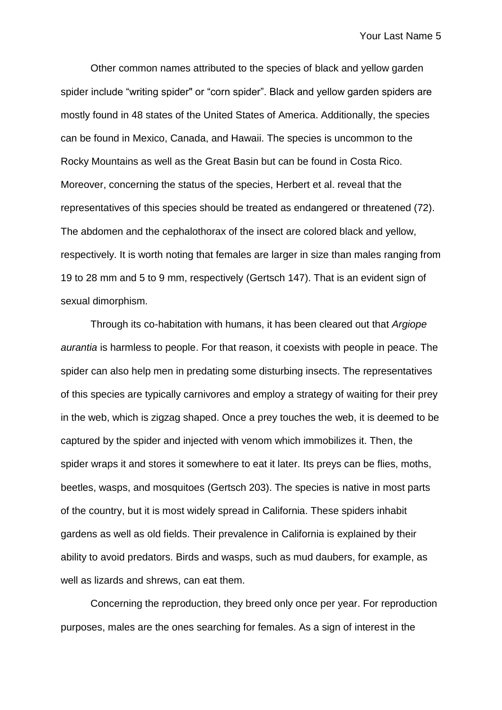Other common names attributed to the species of black and yellow garden spider include "writing spider" or "corn spider". Black and yellow garden spiders are mostly found in 48 states of the United States of America. Additionally, the species can be found in Mexico, Canada, and Hawaii. The species is uncommon to the Rocky Mountains as well as the Great Basin but can be found in Costa Rico. Moreover, concerning the status of the species, Herbert et al. reveal that the representatives of this species should be treated as endangered or threatened (72). The abdomen and the cephalothorax of the insect are colored black and yellow, respectively. It is worth noting that females are larger in size than males ranging from 19 to 28 mm and 5 to 9 mm, respectively (Gertsch 147). That is an evident sign of sexual dimorphism.

Through its co-habitation with humans, it has been cleared out that *Argiope aurantia* is harmless to people. For that reason, it coexists with people in peace. The spider can also help men in predating some disturbing insects. The representatives of this species are typically carnivores and employ a strategy of waiting for their prey in the web, which is zigzag shaped. Once a prey touches the web, it is deemed to be captured by the spider and injected with venom which immobilizes it. Then, the spider wraps it and stores it somewhere to eat it later. Its preys can be flies, moths, beetles, wasps, and mosquitoes (Gertsch 203). The species is native in most parts of the country, but it is most widely spread in California. These spiders inhabit gardens as well as old fields. Their prevalence in California is explained by their ability to avoid predators. Birds and wasps, such as mud daubers, for example, as well as lizards and shrews, can eat them.

Concerning the reproduction, they breed only once per year. For reproduction purposes, males are the ones searching for females. As a sign of interest in the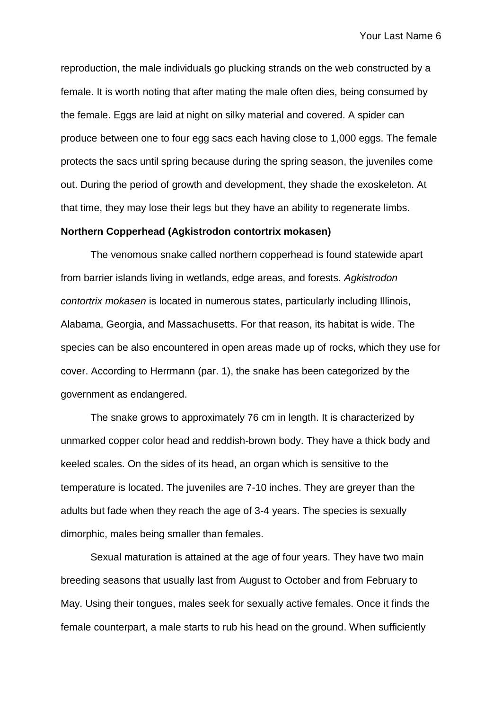reproduction, the male individuals go plucking strands on the web constructed by a female. It is worth noting that after mating the male often dies, being consumed by the female. Eggs are laid at night on silky material and covered. A spider can produce between one to four egg sacs each having close to 1,000 eggs. The female protects the sacs until spring because during the spring season, the juveniles come out. During the period of growth and development, they shade the exoskeleton. At that time, they may lose their legs but they have an ability to regenerate limbs.

#### **Northern Copperhead (Agkistrodon contortrix mokasen)**

The venomous snake called northern copperhead is found statewide apart from barrier islands living in wetlands, edge areas, and forests*. Agkistrodon contortrix mokasen* is located in numerous states, particularly including Illinois, Alabama, Georgia, and Massachusetts. For that reason, its habitat is wide. The species can be also encountered in open areas made up of rocks, which they use for cover. According to Herrmann (par. 1), the snake has been categorized by the government as endangered.

The snake grows to approximately 76 cm in length. It is characterized by unmarked copper color head and reddish-brown body. They have a thick body and keeled scales. On the sides of its head, an organ which is sensitive to the temperature is located. The juveniles are 7-10 inches. They are greyer than the adults but fade when they reach the age of 3-4 years. The species is sexually dimorphic, males being smaller than females.

Sexual maturation is attained at the age of four years. They have two main breeding seasons that usually last from August to October and from February to May. Using their tongues, males seek for sexually active females. Once it finds the female counterpart, a male starts to rub his head on the ground. When sufficiently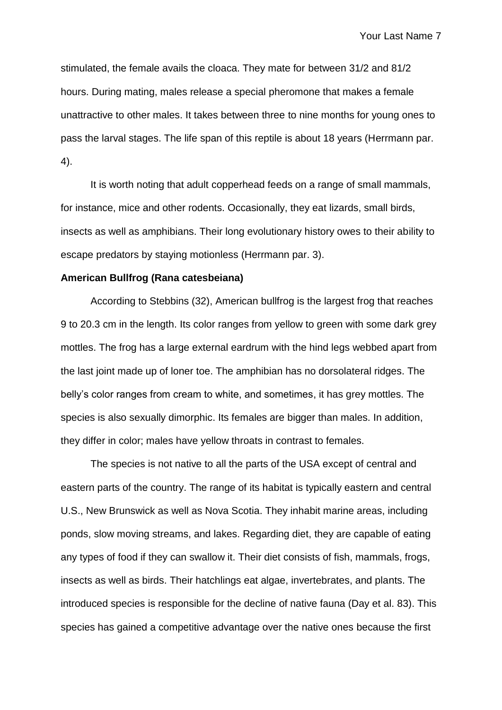stimulated, the female avails the cloaca. They mate for between 31/2 and 81/2 hours. During mating, males release a special pheromone that makes a female unattractive to other males. It takes between three to nine months for young ones to pass the larval stages. The life span of this reptile is about 18 years (Herrmann par. 4).

It is worth noting that adult copperhead feeds on a range of small mammals, for instance, mice and other rodents. Occasionally, they eat lizards, small birds, insects as well as amphibians. Their long evolutionary history owes to their ability to escape predators by staying motionless (Herrmann par. 3).

#### **American Bullfrog (Rana catesbeiana)**

According to Stebbins (32), American bullfrog is the largest frog that reaches 9 to 20.3 cm in the length. Its color ranges from yellow to green with some dark grey mottles. The frog has a large external eardrum with the hind legs webbed apart from the last joint made up of loner toe. The amphibian has no dorsolateral ridges. The belly's color ranges from cream to white, and sometimes, it has grey mottles. The species is also sexually dimorphic. Its females are bigger than males. In addition, they differ in color; males have yellow throats in contrast to females.

The species is not native to all the parts of the USA except of central and eastern parts of the country. The range of its habitat is typically eastern and central U.S., New Brunswick as well as Nova Scotia. They inhabit marine areas, including ponds, slow moving streams, and lakes. Regarding diet, they are capable of eating any types of food if they can swallow it. Their diet consists of fish, mammals, frogs, insects as well as birds. Their hatchlings eat algae, invertebrates, and plants. The introduced species is responsible for the decline of native fauna (Day et al. 83). This species has gained a competitive advantage over the native ones because the first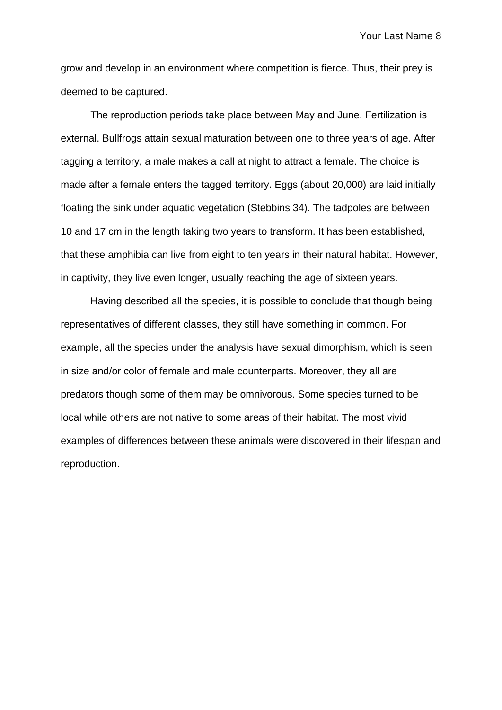grow and develop in an environment where competition is fierce. Thus, their prey is deemed to be captured.

The reproduction periods take place between May and June. Fertilization is external. Bullfrogs attain sexual maturation between one to three years of age. After tagging a territory, a male makes a call at night to attract a female. The choice is made after a female enters the tagged territory. Eggs (about 20,000) are laid initially floating the sink under aquatic vegetation (Stebbins 34). The tadpoles are between 10 and 17 cm in the length taking two years to transform. It has been established, that these amphibia can live from eight to ten years in their natural habitat. However, in captivity, they live even longer, usually reaching the age of sixteen years.

Having described all the species, it is possible to conclude that though being representatives of different classes, they still have something in common. For example, all the species under the analysis have sexual dimorphism, which is seen in size and/or color of female and male counterparts. Moreover, they all are predators though some of them may be omnivorous. Some species turned to be local while others are not native to some areas of their habitat. The most vivid examples of differences between these animals were discovered in their lifespan and reproduction.